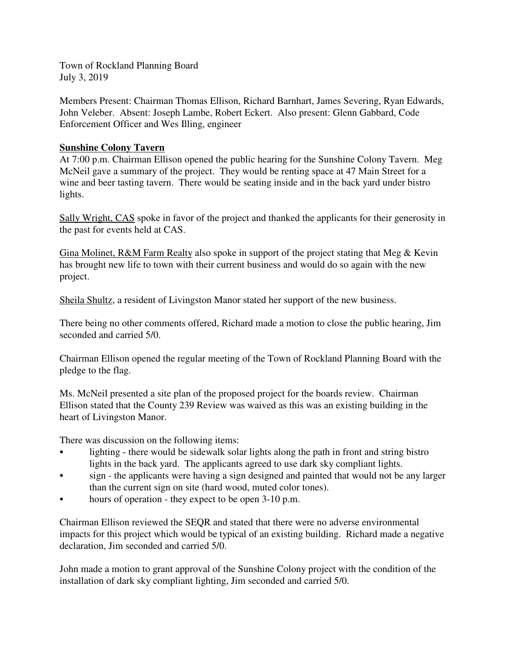Town of Rockland Planning Board July 3, 2019

Members Present: Chairman Thomas Ellison, Richard Barnhart, James Severing, Ryan Edwards, John Veleber. Absent: Joseph Lambe, Robert Eckert. Also present: Glenn Gabbard, Code Enforcement Officer and Wes Illing, engineer

## **Sunshine Colony Tavern**

At 7:00 p.m. Chairman Ellison opened the public hearing for the Sunshine Colony Tavern. Meg McNeil gave a summary of the project. They would be renting space at 47 Main Street for a wine and beer tasting tavern. There would be seating inside and in the back yard under bistro lights.

Sally Wright, CAS spoke in favor of the project and thanked the applicants for their generosity in the past for events held at CAS.

Gina Molinet, R&M Farm Realty also spoke in support of the project stating that Meg & Kevin has brought new life to town with their current business and would do so again with the new project.

Sheila Shultz, a resident of Livingston Manor stated her support of the new business.

There being no other comments offered, Richard made a motion to close the public hearing, Jim seconded and carried 5/0.

Chairman Ellison opened the regular meeting of the Town of Rockland Planning Board with the pledge to the flag.

Ms. McNeil presented a site plan of the proposed project for the boards review. Chairman Ellison stated that the County 239 Review was waived as this was an existing building in the heart of Livingston Manor.

There was discussion on the following items:

- lighting there would be sidewalk solar lights along the path in front and string bistro lights in the back yard. The applicants agreed to use dark sky compliant lights.
- sign the applicants were having a sign designed and painted that would not be any larger than the current sign on site (hard wood, muted color tones).
- hours of operation they expect to be open 3-10 p.m.

Chairman Ellison reviewed the SEQR and stated that there were no adverse environmental impacts for this project which would be typical of an existing building. Richard made a negative declaration, Jim seconded and carried 5/0.

John made a motion to grant approval of the Sunshine Colony project with the condition of the installation of dark sky compliant lighting, Jim seconded and carried 5/0.